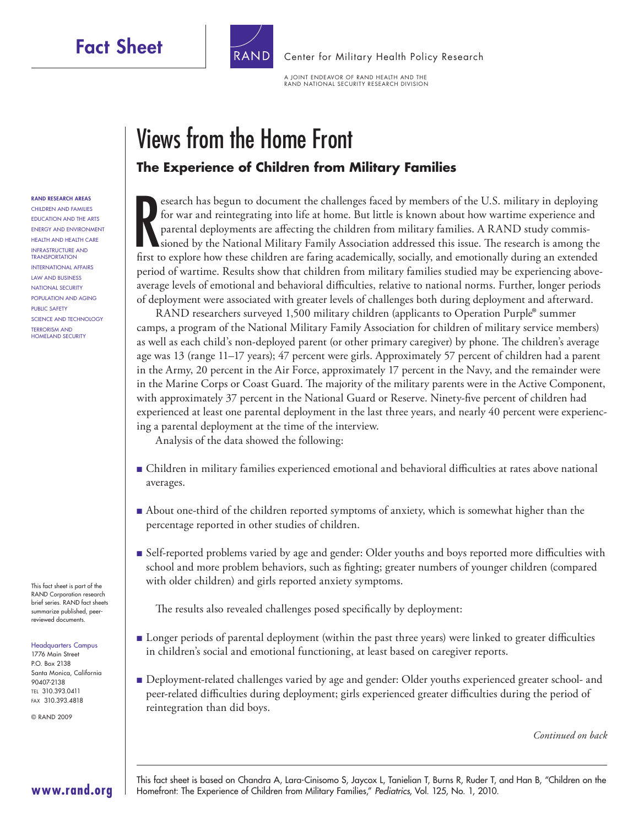### **Fact Sheet**

**RAND RESEARCH AREAS** CHILDREN AND FAMILIES EDUCATION AND THE ARTS ENERGY AND ENVIRONMENT HEALTH AND HEALTH CARE INFRASTRUCTURE AND **TRANSPORTATION** INTERNATIONAL AFFAIRS LAW AND BUSINESS NATIONAL SECURITY POPULATION AND AGING PUBLIC SAFETY SCIENCE AND TECHNOLOGY TERRORISM AND HOMELAND SECURITY



[Center for Military Health Policy Research](http://www.rand.org/pdfrd/multi/military/)

A JOINT ENDEAVOR OF RAND HEALTH AND THE RAND NATIONAL SECURITY RESEARCH DIVISION

# Views from the Home Front **The Experience of Children from Military Families**

Figure 1 and the children are the children are faring the distance of the U.S. military in deploying for war and reintegrating into life at home. But little is known about how wartime experience and parental deployments ar esearch has begun to document the challenges faced by members of the U.S. military in deploying for war and reintegrating into life at home. But little is known about how wartime experience and parental deployments are affecting the children from military families. A RAND study commissioned by the National Military Family Association addressed this issue. The research is among the period of wartime. Results show that children from military families studied may be experiencing aboveaverage levels of emotional and behavioral difficulties, relative to national norms. Further, longer periods of deployment were associated with greater levels of challenges both during deployment and afterward.

RAND researchers surveyed 1,500 military children (applicants to Operation Purple® summer camps, a program of the National Military Family Association for children of military service members) as well as each child's non-deployed parent (or other primary caregiver) by phone. The children's average age was 13 (range 11–17 years); 47 percent were girls. Approximately 57 percent of children had a parent in the Army, 20 percent in the Air Force, approximately 17 percent in the Navy, and the remainder were in the Marine Corps or Coast Guard. The majority of the military parents were in the Active Component, with approximately 37 percent in the National Guard or Reserve. Ninety-five percent of children had experienced at least one parental deployment in the last three years, and nearly 40 percent were experiencing a parental deployment at the time of the interview.

Analysis of the data showed the following:

- Children in military families experienced emotional and behavioral difficulties at rates above national averages.
- About one-third of the children reported symptoms of anxiety, which is somewhat higher than the percentage reported in other studies of children.
- Self-reported problems varied by age and gender: Older youths and boys reported more difficulties with school and more problem behaviors, such as fighting; greater numbers of younger children (compared with older children) and girls reported anxiety symptoms.

The results also revealed challenges posed specifically by deployment:

- Longer periods of parental deployment (within the past three years) were linked to greater difficulties in children's social and emotional functioning, at least based on caregiver reports.
- Deployment-related challenges varied by age and gender: Older youths experienced greater school- and peer-related difficulties during deployment; girls experienced greater difficulties during the period of reintegration than did boys.

*Continued on back*

This fact sheet is part of the RAND Corporation research brief series. RAND fact sheets summarize published, peerreviewed documents.

#### Headquarters Campus

1776 Main Street P.O. Box 2138 Santa Monica, California 90407-2138 TEL 310.393.0411 FAX 310.393.4818

**[www.rand.org](http://www.rand.org)**

© RAND 2009

This fact sheet is based on Chandra A, Lara-Cinisomo S, Jaycox L, Tanielian T, Burns R, Ruder T, and Han B, "Children on the Homefront: The Experience of Children from Military Families," Pediatrics, Vol. 125, No. 1, 2010.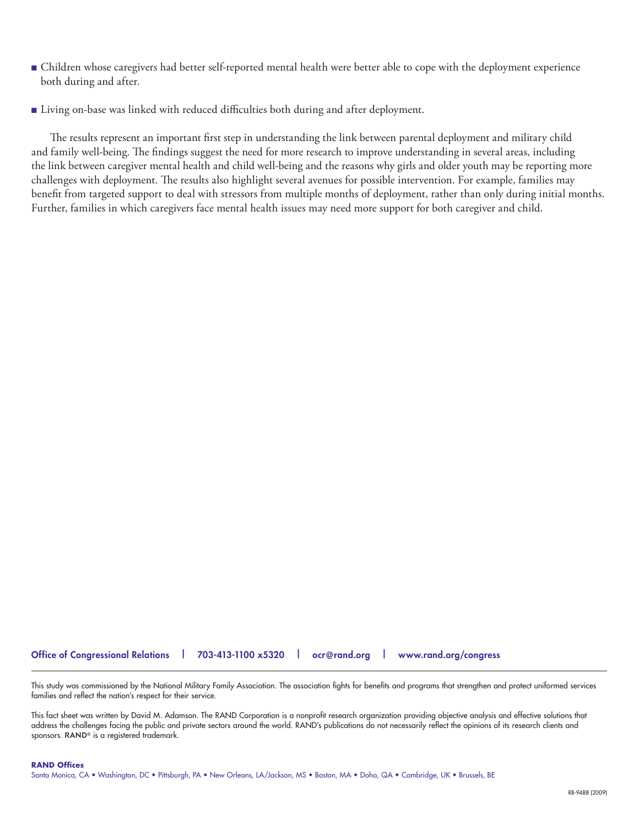- Children whose caregivers had better self-reported mental health were better able to cope with the deployment experience both during and after.
- Living on-base was linked with reduced difficulties both during and after deployment.

The results represent an important first step in understanding the link between parental deployment and military child and family well-being. The findings suggest the need for more research to improve understanding in several areas, including the link between caregiver mental health and child well-being and the reasons why girls and older youth may be reporting more challenges with deployment. The results also highlight several avenues for possible intervention. For example, families may benefit from targeted support to deal with stressors from multiple months of deployment, rather than only during initial months. Further, families in which caregivers face mental health issues may need more support for both caregiver and child.

### **Office of Congressional Relations | 703-413-1100 x5320 | [ocr@rand.org](mailto:ocr@rand.org) | [www.rand.org/congress](http://www.rand.org/congress)**

This study was commissioned by the National Military Family Association. The association fights for benefits and programs that strengthen and protect uniformed services families and reflect the nation's respect for their service.

This fact sheet was written by David M. Adamson. The RAND Corporation is a nonprofit research organization providing objective analysis and effective solutions that address the challenges facing the public and private sectors around the world. RAND's publications do not necessarily reflect the opinions of its research clients and sponsors. RAND<sup>®</sup> is a registered trademark.

#### **RAND Offices**

Santa Monica, CA • Washington, DC • Pittsburgh, PA • New Orleans, LA/Jackson, MS • Boston, MA • Doha, QA • Cambridge, UK • Brussels, BE